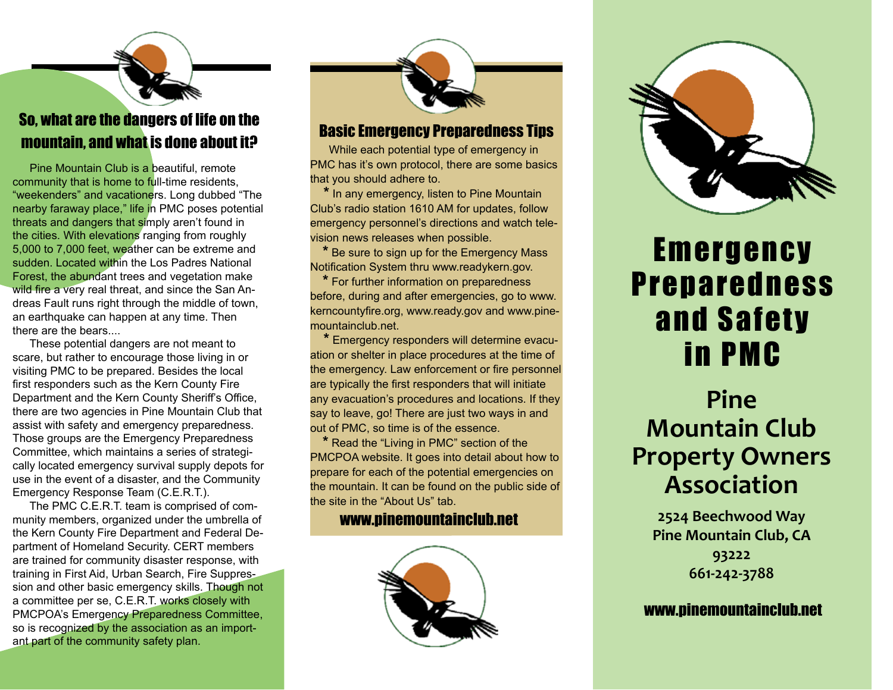### So, what are the dangers of life on the mountain, and what is done about it?

 Pine Mountain Club is a beautiful, remote community that is home to full-time residents, "weekenders" and vacationers. Long dubbed "The nearby faraway place," life in PMC poses potential threats and dangers that simply aren't found in the cities. With elevations ranging from roughly 5,000 to 7,000 feet, weather can be extreme and sudden. Located within the Los Padres National Forest, the abundant trees and vegetation make wild fire a very real threat, and since the San Andreas Fault runs right through the middle of town, an earthquake can happen at any time. Then there are the bears....

 These potential dangers are not meant to scare, but rather to encourage those living in or visiting PMC to be prepared. Besides the local first responders such as the Kern County Fire Department and the Kern County Sheriff's Office, there are two agencies in Pine Mountain Club that assist with safety and emergency preparedness. Those groups are the Emergency Preparedness Committee, which maintains a series of strategically located emergency survival supply depots for use in the event of a disaster, and the Community Emergency Response Team (C.E.R.T.).

 The PMC C.E.R.T. team is comprised of community members, organized under the umbrella of the Kern County Fire Department and Federal Department of Homeland Security. CERT members are trained for community disaster response, with training in First Aid, Urban Search, Fire Suppression and other basic emergency skills. Though not a committee per se, C.E.R.T. works closely with PMCPOA's Emergency Preparedness Committee, so is recognized by the association as an important part of the community safety plan.



### Basic Emergency Preparedness Tips

 While each potential type of emergency in PMC has it's own protocol, there are some basics that you should adhere to.

 **\*** In any emergency, listen to Pine Mountain Club's radio station 1610 AM for updates, follow emergency personnel's directions and watch television news releases when possible.

 **\*** Be sure to sign up for the Emergency Mass Notification System thru www.readykern.gov.

 **\*** For further information on preparedness before, during and after emergencies, go to www. kerncountyfire.org, www.ready.gov and www.pinemountainclub.net.

 **\*** Emergency responders will determine evacuation or shelter in place procedures at the time of the emergency. Law enforcement or fire personnel are typically the first responders that will initiate any evacuation's procedures and locations. If they say to leave, go! There are just two ways in and out of PMC, so time is of the essence.

 **\*** Read the "Living in PMC" section of the PMCPOA website. It goes into detail about how to prepare for each of the potential emergencies on the mountain. It can be found on the public side of the site in the "About Us" tab.

#### www.pinemountainclub.net





# Emergency Preparedness and Safety in PMC

## **Pine Mountain Club Property Owners Association**

**2524 Beechwood Way Pine Mountain Club, CA 93222 661-242-3788**

#### www.pinemountainclub.net